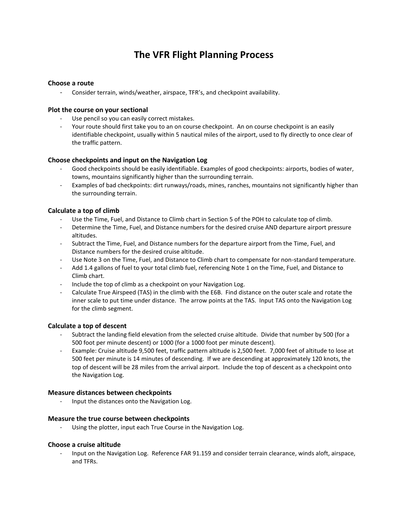# **The VFR Flight Planning Process**

# **Choose a route**

- Consider terrain, winds/weather, airspace, TFR's, and checkpoint availability.

# **Plot the course on your sectional**

- Use pencil so you can easily correct mistakes.
- Your route should first take you to an on course checkpoint. An on course checkpoint is an easily identifiable checkpoint, usually within 5 nautical miles of the airport, used to fly directly to once clear of the traffic pattern.

# **Choose checkpoints and input on the Navigation Log**

- Good checkpoints should be easily identifiable. Examples of good checkpoints: airports, bodies of water, towns, mountains significantly higher than the surrounding terrain.
- Examples of bad checkpoints: dirt runways/roads, mines, ranches, mountains not significantly higher than the surrounding terrain.

# **Calculate a top of climb**

- Use the Time, Fuel, and Distance to Climb chart in Section 5 of the POH to calculate top of climb.
- Determine the Time, Fuel, and Distance numbers for the desired cruise AND departure airport pressure altitudes.
- Subtract the Time, Fuel, and Distance numbers for the departure airport from the Time, Fuel, and Distance numbers for the desired cruise altitude.
- Use Note 3 on the Time, Fuel, and Distance to Climb chart to compensate for non-standard temperature.
- Add 1.4 gallons of fuel to your total climb fuel, referencing Note 1 on the Time, Fuel, and Distance to Climb chart.
- Include the top of climb as a checkpoint on your Navigation Log.
- Calculate True Airspeed (TAS) in the climb with the E6B. Find distance on the outer scale and rotate the inner scale to put time under distance. The arrow points at the TAS. Input TAS onto the Navigation Log for the climb segment.

# **Calculate a top of descent**

- Subtract the landing field elevation from the selected cruise altitude. Divide that number by 500 (for a 500 foot per minute descent) or 1000 (for a 1000 foot per minute descent).
- Example: Cruise altitude 9,500 feet, traffic pattern altitude is 2,500 feet. 7,000 feet of altitude to lose at 500 feet per minute is 14 minutes of descending. If we are descending at approximately 120 knots, the top of descent will be 28 miles from the arrival airport. Include the top of descent as a checkpoint onto the Navigation Log.

## **Measure distances between checkpoints**

- Input the distances onto the Navigation Log.

## **Measure the true course between checkpoints**

- Using the plotter, input each True Course in the Navigation Log.

## **Choose a cruise altitude**

- Input on the Navigation Log. Reference FAR 91.159 and consider terrain clearance, winds aloft, airspace, and TFRs.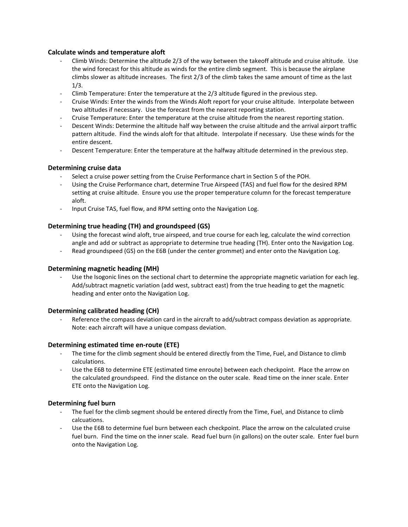## **Calculate winds and temperature aloft**

- Climb Winds: Determine the altitude 2/3 of the way between the takeoff altitude and cruise altitude. Use the wind forecast for this altitude as winds for the entire climb segment. This is because the airplane climbs slower as altitude increases. The first 2/3 of the climb takes the same amount of time as the last 1/3.
- Climb Temperature: Enter the temperature at the 2/3 altitude figured in the previous step.
- Cruise Winds: Enter the winds from the Winds Aloft report for your cruise altitude. Interpolate between two altitudes if necessary. Use the forecast from the nearest reporting station.
- Cruise Temperature: Enter the temperature at the cruise altitude from the nearest reporting station.
- Descent Winds: Determine the altitude half way between the cruise altitude and the arrival airport traffic pattern altitude. Find the winds aloft for that altitude. Interpolate if necessary. Use these winds for the entire descent.
- Descent Temperature: Enter the temperature at the halfway altitude determined in the previous step.

#### **Determining cruise data**

- Select a cruise power setting from the Cruise Performance chart in Section 5 of the POH.
- Using the Cruise Performance chart, determine True Airspeed (TAS) and fuel flow for the desired RPM setting at cruise altitude. Ensure you use the proper temperature column for the forecast temperature aloft.
- Input Cruise TAS, fuel flow, and RPM setting onto the Navigation Log.

#### **Determining true heading (TH) and groundspeed (GS)**

- Using the forecast wind aloft, true airspeed, and true course for each leg, calculate the wind correction angle and add or subtract as appropriate to determine true heading (TH). Enter onto the Navigation Log.
- Read groundspeed (GS) on the E6B (under the center grommet) and enter onto the Navigation Log.

#### **Determining magnetic heading (MH)**

Use the Isogonic lines on the sectional chart to determine the appropriate magnetic variation for each leg. Add/subtract magnetic variation (add west, subtract east) from the true heading to get the magnetic heading and enter onto the Navigation Log.

#### **Determining calibrated heading (CH)**

Reference the compass deviation card in the aircraft to add/subtract compass deviation as appropriate. Note: each aircraft will have a unique compass deviation.

#### **Determining estimated time en-route (ETE)**

- The time for the climb segment should be entered directly from the Time, Fuel, and Distance to climb calculations.
- Use the E6B to determine ETE (estimated time enroute) between each checkpoint. Place the arrow on the calculated groundspeed. Find the distance on the outer scale. Read time on the inner scale. Enter ETE onto the Navigation Log.

#### **Determining fuel burn**

- The fuel for the climb segment should be entered directly from the Time, Fuel, and Distance to climb calcuations.
- Use the E6B to determine fuel burn between each checkpoint. Place the arrow on the calculated cruise fuel burn. Find the time on the inner scale. Read fuel burn (in gallons) on the outer scale. Enter fuel burn onto the Navigation Log.